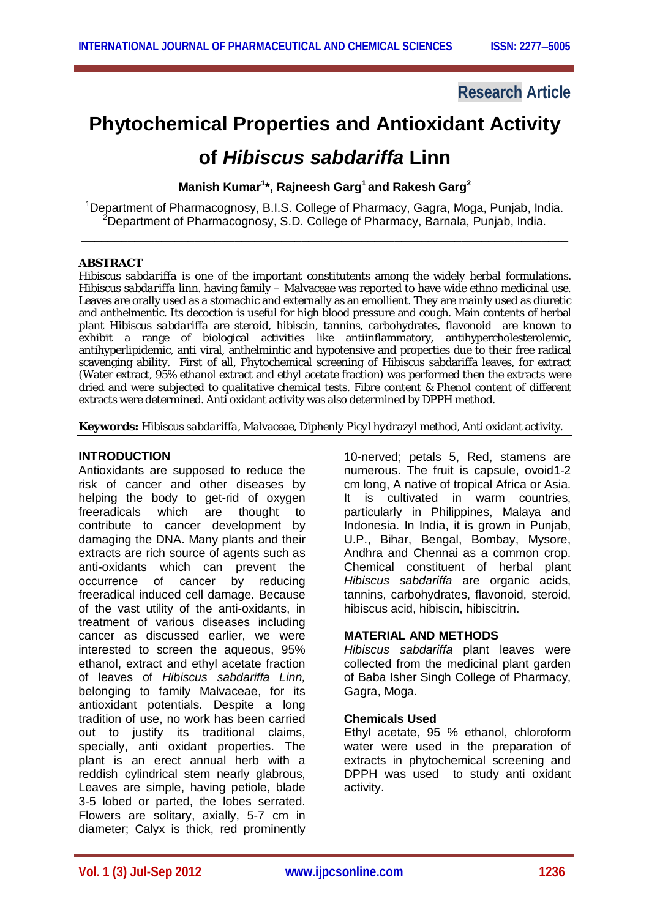# **Research Article**

# **Phytochemical Properties and Antioxidant Activity**

# **of** *Hibiscus sabdariffa* **Linn**

**Manish Kumar<sup>1</sup> \*, Rajneesh Garg<sup>1</sup> and Rakesh Garg<sup>2</sup>**

<sup>1</sup>Department of Pharmacognosy, B.I.S. College of Pharmacy, Gagra, Moga, Punjab, India. <sup>2</sup>Department of Pharmacognosy, S.D. College of Pharmacy, Barnala, Punjab, India.

\_\_\_\_\_\_\_\_\_\_\_\_\_\_\_\_\_\_\_\_\_\_\_\_\_\_\_\_\_\_\_\_\_\_\_\_\_\_\_\_\_\_\_\_\_\_\_\_\_\_\_\_\_\_\_\_\_\_\_\_\_\_\_\_\_\_\_\_\_\_\_\_\_

# **ABSTRACT**

*Hibiscus sabdariffa* is one of the important constitutents among the widely herbal formulations. *Hibiscus sabdariffa* linn*.* having family – Malvaceae was reported to have wide ethno medicinal use. Leaves are orally used as a stomachic and externally as an emollient. They are mainly used as diuretic and anthelmentic. Its decoction is useful for high blood pressure and cough. Main contents of herbal plant *Hibiscus sabdariffa* are steroid, hibiscin, tannins, carbohydrates, flavonoid are known to exhibit a range of biological activities like antiinflammatory, antihypercholesterolemic, antihyperlipidemic, anti viral, anthelmintic and hypotensive and properties due to their free radical scavenging ability. First of all, Phytochemical screening of Hibiscus sabdariffa leaves, for extract (Water extract, 95% ethanol extract and ethyl acetate fraction) was performed then the extracts were dried and were subjected to qualitative chemical tests. Fibre content & Phenol content of different extracts were determined. Anti oxidant activity was also determined by DPPH method.

**Keywords:** *Hibiscus sabdariffa*, Malvaceae, *Diphenly Picyl hydrazyl* method, Anti oxidant activity.

# **INTRODUCTION**

Antioxidants are supposed to reduce the risk of cancer and other diseases by helping the body to get-rid of oxygen freeradicals which are thought to contribute to cancer development by damaging the DNA. Many plants and their extracts are rich source of agents such as anti-oxidants which can prevent the occurrence of cancer by reducing freeradical induced cell damage. Because of the vast utility of the anti-oxidants, in treatment of various diseases including cancer as discussed earlier, we were interested to screen the aqueous, 95% ethanol, extract and ethyl acetate fraction of leaves of *Hibiscus sabdariffa Linn,*  belonging to family Malvaceae, for its antioxidant potentials. Despite a long tradition of use, no work has been carried out to justify its traditional claims, specially, anti oxidant properties. The plant is an erect annual herb with a reddish cylindrical stem nearly glabrous, Leaves are simple, having petiole, blade 3-5 lobed or parted, the lobes serrated. Flowers are solitary, axially, 5-7 cm in diameter; Calyx is thick, red prominently

10-nerved; petals 5, Red, stamens are numerous. The fruit is capsule, ovoid1-2 cm long, A native of tropical Africa or Asia. It is cultivated in warm countries, particularly in Philippines, Malaya and Indonesia. In India, it is grown in Punjab, U.P., Bihar, Bengal, Bombay, Mysore, Andhra and Chennai as a common crop. Chemical constituent of herbal plant *Hibiscus sabdariffa* are organic acids, tannins, carbohydrates, flavonoid, steroid, hibiscus acid, hibiscin, hibiscitrin.

# **MATERIAL AND METHODS**

*Hibiscus sabdariffa* plant leaves were collected from the medicinal plant garden of Baba Isher Singh College of Pharmacy, Gagra, Moga.

# **Chemicals Used**

Ethyl acetate, 95 % ethanol, chloroform water were used in the preparation of extracts in phytochemical screening and DPPH was used to study anti oxidant activity.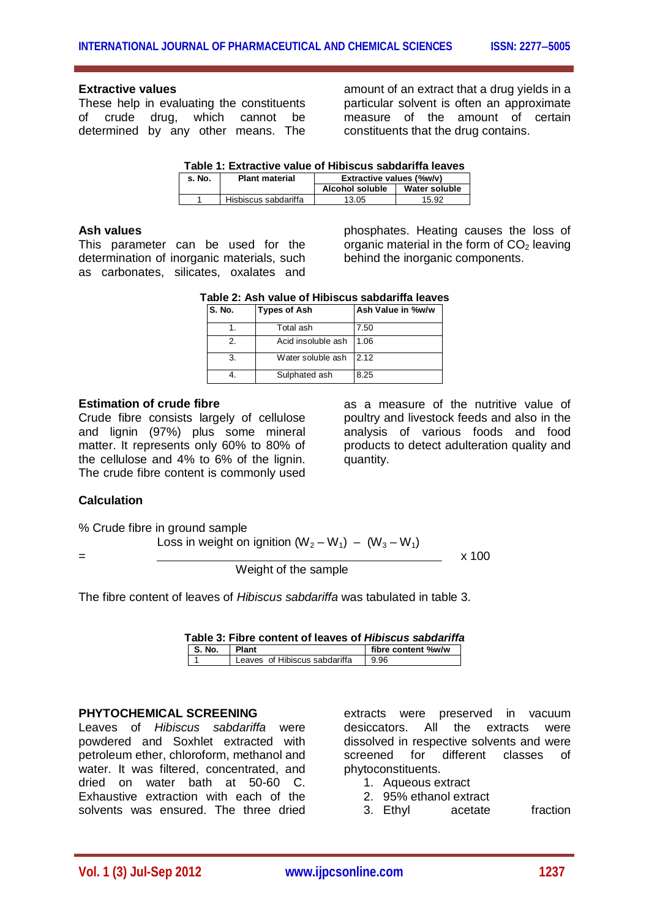## **Extractive values**

These help in evaluating the constituents of crude drug, which cannot be determined by any other means. The

amount of an extract that a drug yields in a particular solvent is often an approximate measure of the amount of certain constituents that the drug contains.

| Table 1: Extractive value of Hibiscus sabdariffa leaves |  |  |
|---------------------------------------------------------|--|--|
|---------------------------------------------------------|--|--|

| s. No. | <b>Plant material</b> | Extractive values (%w/v) |               |
|--------|-----------------------|--------------------------|---------------|
|        |                       | Alcohol soluble          | Water soluble |
|        | Hisbiscus sabdariffa  | 13.05                    | 15.92         |

## **Ash values**

This parameter can be used for the determination of inorganic materials, such as carbonates, silicates, oxalates and

phosphates. Heating causes the loss of organic material in the form of  $CO<sub>2</sub>$  leaving behind the inorganic components.

| Table 2: Ash value of Hibiscus sabdariffa leaves |
|--------------------------------------------------|
|--------------------------------------------------|

| S. No. | <b>Types of Ash</b> | Ash Value in %w/w |
|--------|---------------------|-------------------|
|        | Total ash           | 7.50              |
| 2.     | Acid insoluble ash  | 1.06              |
|        | Water soluble ash   | 2.12              |
|        | Sulphated ash       | 8.25              |

## **Estimation of crude fibre**

Crude fibre consists largely of cellulose and lignin (97%) plus some mineral matter. It represents only 60% to 80% of the cellulose and 4% to 6% of the lignin. The crude fibre content is commonly used

as a measure of the nutritive value of poultry and livestock feeds and also in the analysis of various foods and food products to detect adulteration quality and quantity.

# **Calculation**

% Crude fibre in ground sample

Loss in weight on ignition  $(W_2-W_1) - (W_3-W_1)$ 

Weight of the sample

= x 100

The fibre content of leaves of *Hibiscus sabdariffa* was tabulated in table 3.

| Table 3: Fibre content of leaves of <i>Hibiscus sabdariffa</i> |  |  |  |  |
|----------------------------------------------------------------|--|--|--|--|
|----------------------------------------------------------------|--|--|--|--|

| IS.No. | <b>Plant</b>                  | fibre content %w/w |
|--------|-------------------------------|--------------------|
|        | Leaves of Hibiscus sabdariffa | 9.96               |

## **PHYTOCHEMICAL SCREENING**

Leaves of *Hibiscus sabdariffa* were powdered and Soxhlet extracted with petroleum ether, chloroform, methanol and water. It was filtered, concentrated, and dried on water bath at 50-60 C. Exhaustive extraction with each of the solvents was ensured. The three dried

extracts were preserved in vacuum desiccators. All the extracts were dissolved in respective solvents and were screened for different classes of phytoconstituents.

- 1. Aqueous extract
- 2. 95% ethanol extract
- 3. Ethyl acetate fraction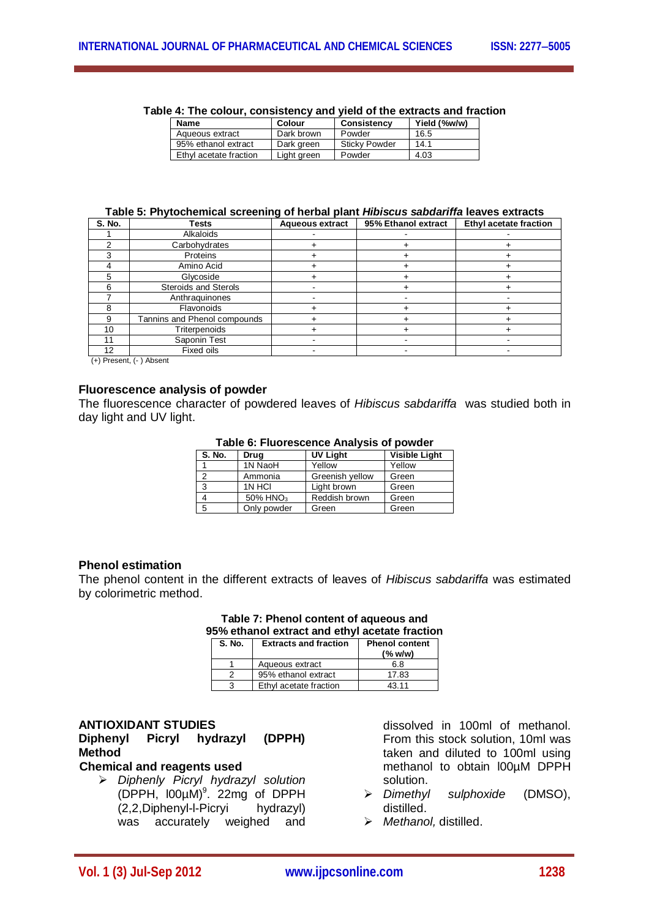| Table 4: The colour, consistency and yield of the extracts and fraction |  |  |
|-------------------------------------------------------------------------|--|--|

| <b>Name</b>            | Colour      | <b>Consistency</b>   | Yield (%w/w) |  |
|------------------------|-------------|----------------------|--------------|--|
| Aqueous extract        | Dark brown  | Powder               | 16.5         |  |
| 95% ethanol extract    | Dark green  | <b>Sticky Powder</b> | 14.1         |  |
| Ethyl acetate fraction | Light green | Powder               | 4.03         |  |

#### **Table 5: Phytochemical screening of herbal plant** *Hibiscus sabdariffa* **leaves extracts**

| <b>S. No.</b> | <b>Tests</b>                 | <b>Aqueous extract</b> | 95% Ethanol extract | Ethyl acetate fraction |
|---------------|------------------------------|------------------------|---------------------|------------------------|
|               | Alkaloids                    |                        |                     |                        |
|               | Carbohydrates                |                        |                     |                        |
|               | Proteins                     |                        |                     |                        |
|               | Amino Acid                   |                        |                     |                        |
|               | Glycoside                    |                        |                     |                        |
|               | <b>Steroids and Sterols</b>  |                        |                     |                        |
|               | Anthraguinones               |                        |                     |                        |
|               | Flavonoids                   |                        |                     |                        |
| р             | Tannins and Phenol compounds |                        |                     |                        |
| 10            | Triterpenoids                |                        |                     |                        |
| 11            | Saponin Test                 |                        |                     |                        |
| 12            | Fixed oils                   |                        |                     |                        |

(+) Present, (- ) Absent

# **Fluorescence analysis of powder**

The fluorescence character of powdered leaves of *Hibiscus sabdariffa* was studied both in day light and UV light.

| S. No. | Drug                 | <b>UV Light</b> | <b>Visible Light</b> |
|--------|----------------------|-----------------|----------------------|
|        | 1N NaoH              | Yellow          | Yellow               |
|        | Ammonia              | Greenish yellow | Green                |
|        | 1N HCI               | Light brown     | Green                |
|        | 50% HNO <sub>3</sub> | Reddish brown   | Green                |
| 5      | Only powder          | Green           | Green                |

## **Phenol estimation**

The phenol content in the different extracts of leaves of *Hibiscus sabdariffa* was estimated by colorimetric method.

# **Table 7: Phenol content of aqueous and 95% ethanol extract and ethyl acetate fraction**

| S. No. | <b>Extracts and fraction</b> | <b>Phenol content</b><br>(% w/w) |
|--------|------------------------------|----------------------------------|
|        | Aqueous extract              | 6.8                              |
|        | 95% ethanol extract          | 17.83                            |
|        | Ethyl acetate fraction       | 43.11                            |

## **ANTIOXIDANT STUDIES**

**Diphenyl Picryl hydrazyl (DPPH) Method**

# **Chemical and reagents used**

 *Diphenly Picryl hydrazyl solution*   $(DPPH, 100\mu M)^9$ . 22mg of DPPH (2,2,Diphenyl-l-Picryi hydrazyl) was accurately weighed and dissolved in 100ml of methanol. From this stock solution, 10ml was taken and diluted to 100ml using methanol to obtain l00µM DPPH solution.

- *Dimethyl sulphoxide* (DMSO), distilled.
- *Methanol,* distilled.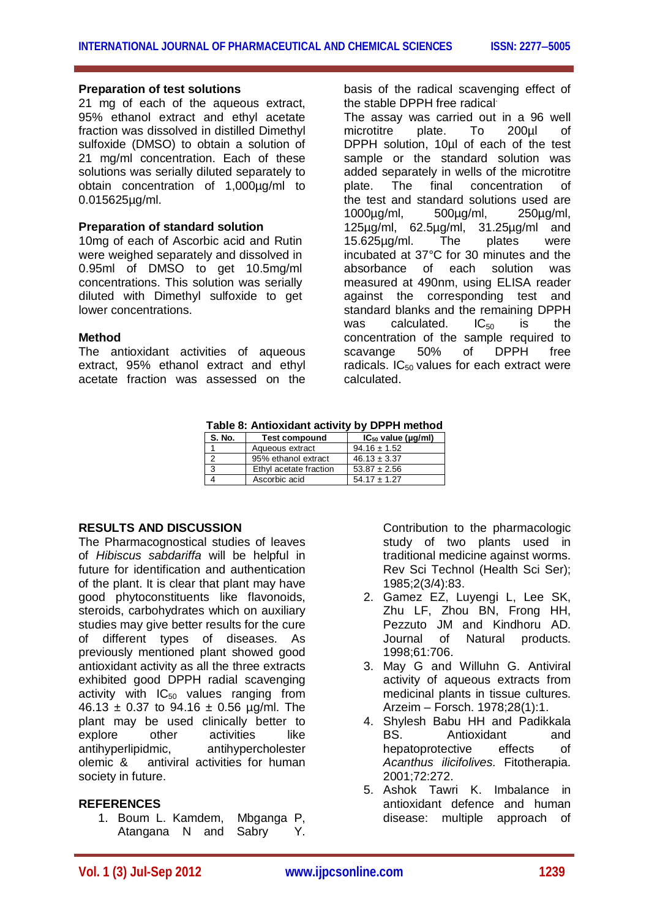## **Preparation of test solutions**

21 mg of each of the aqueous extract, 95% ethanol extract and ethyl acetate fraction was dissolved in distilled Dimethyl sulfoxide (DMSO) to obtain a solution of 21 mg/ml concentration. Each of these solutions was serially diluted separately to obtain concentration of 1,000µg/ml to 0.015625µg/ml.

# **Preparation of standard solution**

10mg of each of Ascorbic acid and Rutin were weighed separately and dissolved in 0.95ml of DMSO to get 10.5mg/ml concentrations. This solution was serially diluted with Dimethyl sulfoxide to get lower concentrations.

## **Method**

The antioxidant activities of aqueous extract, 95% ethanol extract and ethyl acetate fraction was assessed on the basis of the radical scavenging effect of the stable DPPH free radical

The assay was carried out in a 96 well microtitre plate. To 200µl of DPPH solution, 10µl of each of the test sample or the standard solution was added separately in wells of the microtitre plate. The final concentration of the test and standard solutions used are 1000µg/ml, 500µg/ml, 250µg/ml, 125µg/ml, 62.5µg/ml, 31.25µg/ml and 15.625µg/ml. The plates were incubated at 37°C for 30 minutes and the absorbance of each solution was measured at 490nm, using ELISA reader against the corresponding test and standard blanks and the remaining DPPH was calculated.  $IC_{50}$  is the concentration of the sample required to scavange 50% of DPPH free radicals.  $IC_{50}$  values for each extract were calculated.

| Table 6. Alluxiualit activity by DFFH Illettiou |                        |                               |
|-------------------------------------------------|------------------------|-------------------------------|
| S. No.                                          | <b>Test compound</b>   | $IC_{50}$ value ( $\mu$ g/ml) |
|                                                 | Aqueous extract        | $94.16 \pm 1.52$              |
|                                                 | 95% ethanol extract    | $46.13 \pm 3.37$              |
| 3                                               | Ethyl acetate fraction | $53.87 \pm 2.56$              |
|                                                 | Ascorbic acid          | $54.17 \pm 1.27$              |

**Table 8: Antioxidant activity by DPPH method**

# **RESULTS AND DISCUSSION**

The Pharmacognostical studies of leaves of *Hibiscus sabdariffa* will be helpful in future for identification and authentication of the plant. It is clear that plant may have good phytoconstituents like flavonoids, steroids, carbohydrates which on auxiliary studies may give better results for the cure of different types of diseases. As previously mentioned plant showed good antioxidant activity as all the three extracts exhibited good DPPH radial scavenging activity with  $IC_{50}$  values ranging from 46.13  $\pm$  0.37 to 94.16  $\pm$  0.56 µg/ml. The plant may be used clinically better to explore other activities like antihyperlipidmic, antihypercholester olemic & antiviral activities for human society in future.

# **REFERENCES**

1. Boum L. Kamdem, Mbganga P, Atangana N and Sabry Y. Contribution to the pharmacologic study of two plants used in traditional medicine against worms. Rev Sci Technol (Health Sci Ser); 1985;2(3/4):83.

- 2. Gamez EZ, Luyengi L, Lee SK, Zhu LF, Zhou BN, Frong HH, Pezzuto JM and Kindhoru AD. Journal of Natural products. 1998;61:706.
- 3. May G and Willuhn G. Antiviral activity of aqueous extracts from medicinal plants in tissue cultures. Arzeim – Forsch. 1978;28(1):1.
- 4. Shylesh Babu HH and Padikkala BS. Antioxidant and hepatoprotective effects of *Acanthus ilicifolives*. Fitotherapia. 2001;72:272.
- 5. Ashok Tawri K. Imbalance in antioxidant defence and human disease: multiple approach of